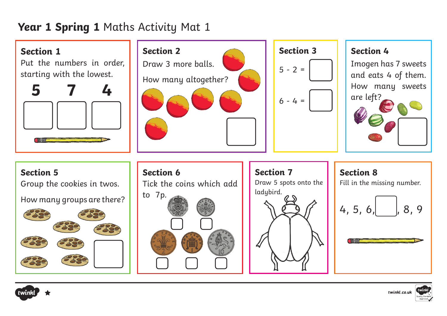## **Year 1 Spring 1** Maths Activity Mat 1





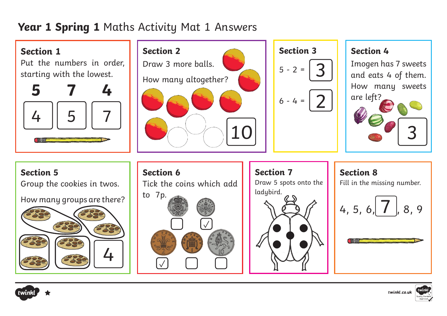## **Year 1 Spring 1** Maths Activity Mat 1 Answers





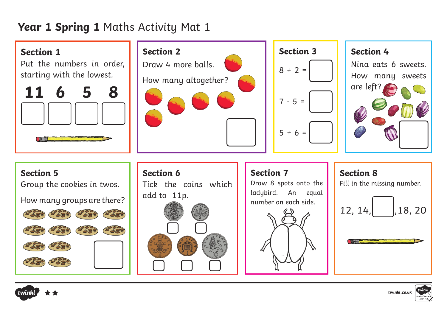## **Year 1 Spring 1** Maths Activity Mat 1





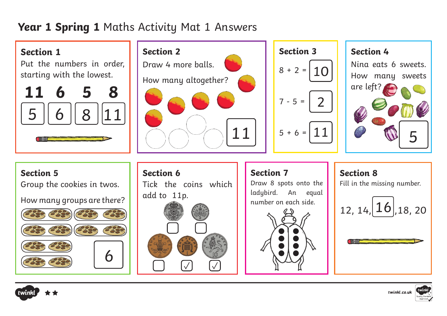# **Year 1 Spring 1** Maths Activity Mat 1 Answers





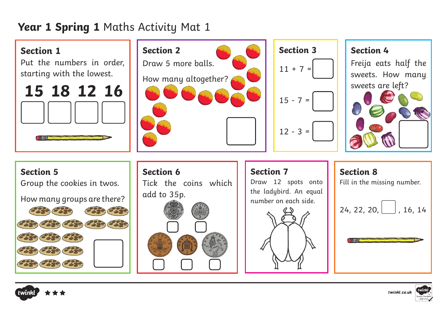## **Year 1 Spring 1** Maths Activity Mat 1